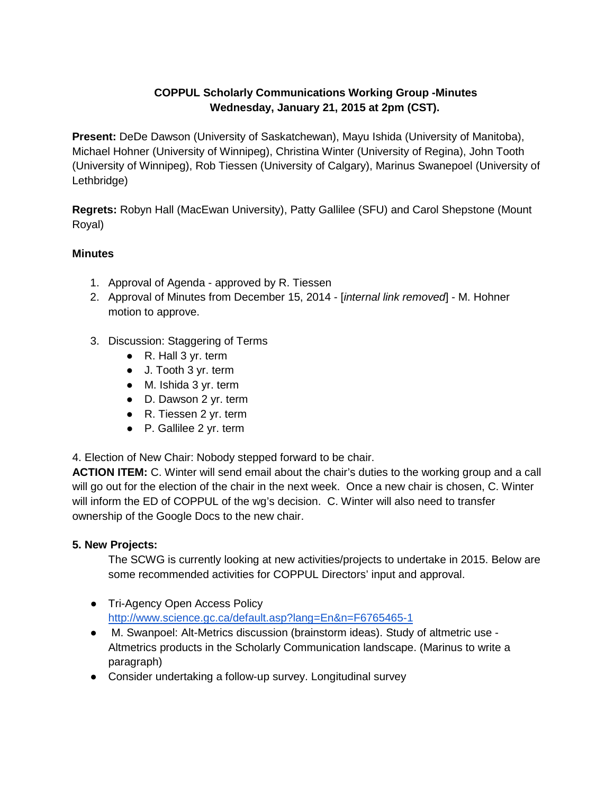## **COPPUL Scholarly Communications Working Group -Minutes Wednesday, January 21, 2015 at 2pm (CST).**

**Present:** DeDe Dawson (University of Saskatchewan), Mayu Ishida (University of Manitoba), Michael Hohner (University of Winnipeg), Christina Winter (University of Regina), John Tooth (University of Winnipeg), Rob Tiessen (University of Calgary), Marinus Swanepoel (University of Lethbridge)

**Regrets:** Robyn Hall (MacEwan University), Patty Gallilee (SFU) and Carol Shepstone (Mount Royal)

## **Minutes**

- 1. Approval of Agenda approved by R. Tiessen
- 2. Approval of Minutes from December 15, 2014 [-](https://docs.google.com/document/d/1C31mPVQWb4OQuhZuWNAdbkcsovAS_mLbRaqS5JQO3Vc/edit) [*internal link removed*] M. Hohner motion to approve.
- 3. Discussion: Staggering of Terms
	- R. Hall 3 yr. term
	- J. Tooth 3 yr. term
	- M. Ishida 3 yr. term
	- D. Dawson 2 yr. term
	- R. Tiessen 2 yr. term
	- P. Gallilee 2 yr. term

4. Election of New Chair: Nobody stepped forward to be chair.

**ACTION ITEM:** C. Winter will send email about the chair's duties to the working group and a call will go out for the election of the chair in the next week. Once a new chair is chosen, C. Winter will inform the ED of COPPUL of the wg's decision. C. Winter will also need to transfer ownership of the Google Docs to the new chair.

## **5. New Projects:**

The SCWG is currently looking at new activities/projects to undertake in 2015. Below are some recommended activities for COPPUL Directors' input and approval.

- Tri-Agency Open Access Policy <http://www.science.gc.ca/default.asp?lang=En&n=F6765465-1>
- M. Swanpoel: Alt-Metrics discussion (brainstorm ideas). Study of altmetric use Altmetrics products in the Scholarly Communication landscape. (Marinus to write a paragraph)
- Consider undertaking a follow-up survey. Longitudinal survey